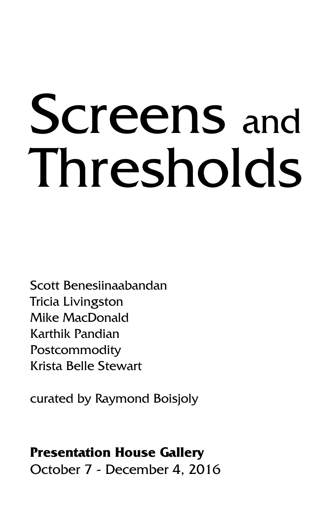# Screens and Thresholds

Scott Benesiinaabandan Tricia Livingston Mike MacDonald Karthik Pandian Postcommodity Krista Belle Stewart

curated by Raymond Boisjoly

#### **Presentation House Gallery**

October 7 - December 4, 2016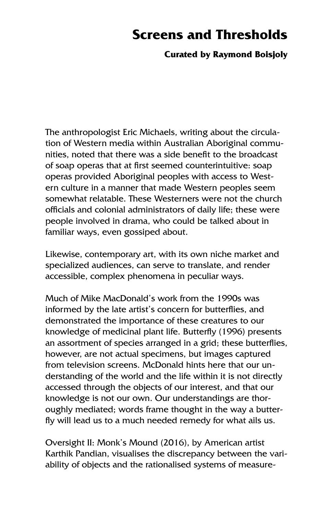## **Screens and Thresholds**

#### **Curated by Raymond Boisjoly**

The anthropologist Eric Michaels, writing about the circulation of Western media within Australian Aboriginal communities, noted that there was a side benefit to the broadcast of soap operas that at first seemed counterintuitive: soap operas provided Aboriginal peoples with access to Western culture in a manner that made Western peoples seem somewhat relatable. These Westerners were not the church officials and colonial administrators of daily life; these were people involved in drama, who could be talked about in familiar ways, even gossiped about.

Likewise, contemporary art, with its own niche market and specialized audiences, can serve to translate, and render accessible, complex phenomena in peculiar ways.

Much of Mike MacDonald's work from the 1990s was informed by the late artist's concern for butterflies, and demonstrated the importance of these creatures to our knowledge of medicinal plant life. Butterfly (1996) presents an assortment of species arranged in a grid; these butterflies, however, are not actual specimens, but images captured from television screens. McDonald hints here that our understanding of the world and the life within it is not directly accessed through the objects of our interest, and that our knowledge is not our own. Our understandings are thoroughly mediated; words frame thought in the way a butterfly will lead us to a much needed remedy for what ails us.

Oversight II: Monk's Mound (2016), by American artist Karthik Pandian, visualises the discrepancy between the variability of objects and the rationalised systems of measure-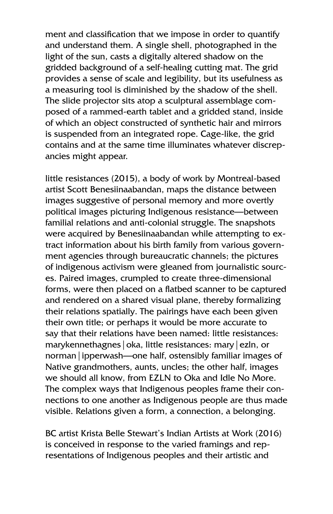ment and classification that we impose in order to quantify and understand them. A single shell, photographed in the light of the sun, casts a digitally altered shadow on the gridded background of a self-healing cutting mat. The grid provides a sense of scale and legibility, but its usefulness as a measuring tool is diminished by the shadow of the shell. The slide projector sits atop a sculptural assemblage composed of a rammed-earth tablet and a gridded stand, inside of which an object constructed of synthetic hair and mirrors is suspended from an integrated rope. Cage-like, the grid contains and at the same time illuminates whatever discrepancies might appear.

little resistances (2015), a body of work by Montreal-based artist Scott Benesiinaabandan, maps the distance between images suggestive of personal memory and more overtly political images picturing Indigenous resistance—between familial relations and anti-colonial struggle. The snapshots were acquired by Benesiinaabandan while attempting to extract information about his birth family from various government agencies through bureaucratic channels; the pictures of indigenous activism were gleaned from journalistic sources. Paired images, crumpled to create three-dimensional forms, were then placed on a flatbed scanner to be captured and rendered on a shared visual plane, thereby formalizing their relations spatially. The pairings have each been given their own title; or perhaps it would be more accurate to say that their relations have been named: little resistances: marykennethagnes|oka, little resistances: mary|ezln, or norman|ipperwash—one half, ostensibly familiar images of Native grandmothers, aunts, uncles; the other half, images we should all know, from EZLN to Oka and Idle No More. The complex ways that Indigenous peoples frame their connections to one another as Indigenous people are thus made visible. Relations given a form, a connection, a belonging.

BC artist Krista Belle Stewart's Indian Artists at Work (2016) is conceived in response to the varied framings and representations of Indigenous peoples and their artistic and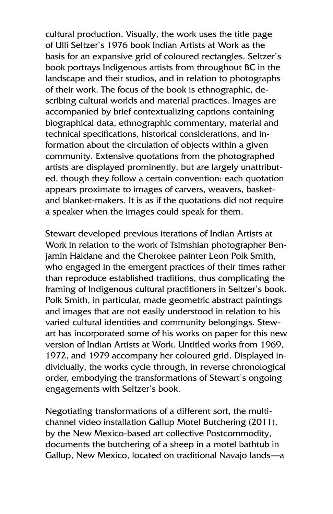cultural production. Visually, the work uses the title page of Ulli Seltzer's 1976 book Indian Artists at Work as the basis for an expansive grid of coloured rectangles. Seltzer's book portrays Indigenous artists from throughout BC in the landscape and their studios, and in relation to photographs of their work. The focus of the book is ethnographic, describing cultural worlds and material practices. Images are accompanied by brief contextualizing captions containing biographical data, ethnographic commentary, material and technical specifications, historical considerations, and information about the circulation of objects within a given community. Extensive quotations from the photographed artists are displayed prominently, but are largely unattributed, though they follow a certain convention: each quotation appears proximate to images of carvers, weavers, basketand blanket-makers. It is as if the quotations did not require a speaker when the images could speak for them.

Stewart developed previous iterations of Indian Artists at Work in relation to the work of Tsimshian photographer Benjamin Haldane and the Cherokee painter Leon Polk Smith, who engaged in the emergent practices of their times rather than reproduce established traditions, thus complicating the framing of Indigenous cultural practitioners in Seltzer's book. Polk Smith, in particular, made geometric abstract paintings and images that are not easily understood in relation to his varied cultural identities and community belongings. Stewart has incorporated some of his works on paper for this new version of Indian Artists at Work. Untitled works from 1969, 1972, and 1979 accompany her coloured grid. Displayed individually, the works cycle through, in reverse chronological order, embodying the transformations of Stewart's ongoing engagements with Seltzer's book.

Negotiating transformations of a different sort, the multichannel video installation Gallup Motel Butchering (2011), by the New Mexico-based art collective Postcommodity, documents the butchering of a sheep in a motel bathtub in Gallup, New Mexico, located on traditional Navajo lands—a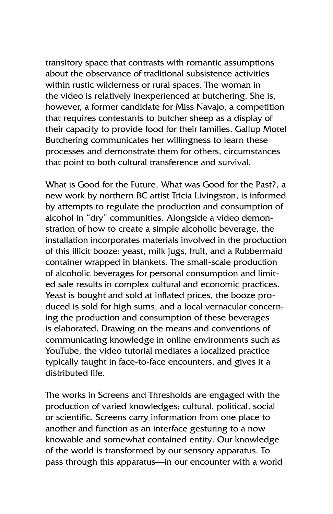transitory space that contrasts with romantic assumptions about the observance of traditional subsistence activities within rustic wilderness or rural spaces. The woman in the video is relatively inexperienced at butchering. She is, however, a former candidate for Miss Navajo, a competition that requires contestants to butcher sheep as a display of their capacity to provide food for their families. Gallup Motel Butchering communicates her willingness to learn these processes and demonstrate them for others, circumstances that point to both cultural transference and survival.

What is Good for the Future, What was Good for the Past?, a new work by northern BC artist Tricia Livingston, is informed by attempts to regulate the production and consumption of alcohol in "dry" communities. Alongside a video demonstration of how to create a simple alcoholic beverage, the installation incorporates materials involved in the production of this illicit booze: yeast, milk jugs, fruit, and a Rubbermaid container wrapped in blankets. The small-scale production of alcoholic beverages for personal consumption and limited sale results in complex cultural and economic practices. Yeast is bought and sold at inflated prices, the booze produced is sold for high sums, and a local vernacular concerning the production and consumption of these beverages is elaborated. Drawing on the means and conventions of communicating knowledge in online environments such as YouTube, the video tutorial mediates a localized practice typically taught in face-to-face encounters, and gives it a distributed life.

The works in Screens and Thresholds are engaged with the production of varied knowledges: cultural, political, social or scientific. Screens carry information from one place to another and function as an interface gesturing to a now knowable and somewhat contained entity. Our knowledge of the world is transformed by our sensory apparatus. To pass through this apparatus—in our encounter with a world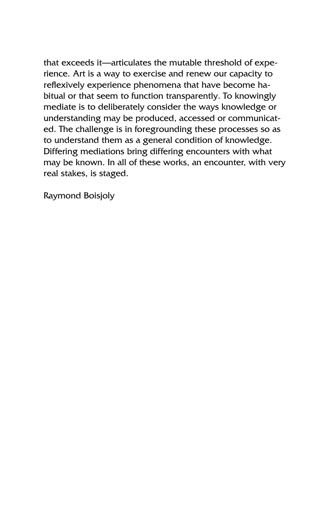that exceeds it—articulates the mutable threshold of experience. Art is a way to exercise and renew our capacity to reflexively experience phenomena that have become habitual or that seem to function transparently. To knowingly mediate is to deliberately consider the ways knowledge or understanding may be produced, accessed or communicated. The challenge is in foregrounding these processes so as to understand them as a general condition of knowledge. Differing mediations bring differing encounters with what may be known. In all of these works, an encounter, with very real stakes, is staged.

Raymond Boisjoly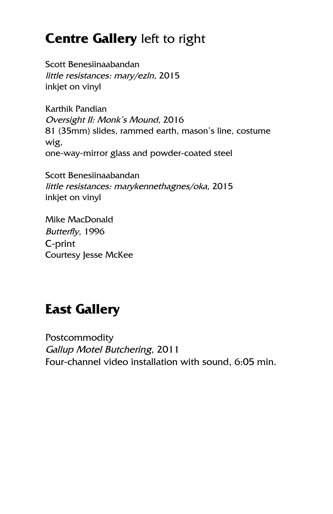# **Centre Gallery** left to right

Scott Benesiinaabandan little resistances: mary/ezln, 2015 inkjet on vinyl

Karthik Pandian Oversight II: Monk's Mound, 2016 81 (35mm) slides, rammed earth, mason's line, costume wig, one-way-mirror glass and powder-coated steel

Scott Benesiinaabandan little resistances: marykennethagnes/oka, 2015 inkjet on vinyl

Mike MacDonald Butterfly, 1996 C-print Courtesy Jesse McKee

# **East Gallery**

**Postcommodity** Gallup Motel Butchering, 2011 Four-channel video installation with sound, 6:05 min.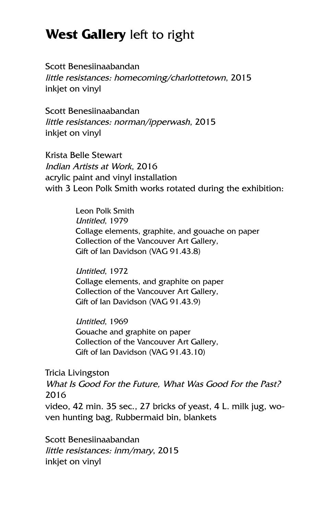## **West Gallery** left to right

Scott Benesiinaabandan little resistances: homecoming/charlottetown, 2015 inkjet on vinyl

Scott Benesiinaabandan little resistances: norman/ipperwash, 2015 inkjet on vinyl

Krista Belle Stewart Indian Artists at Work, 2016 acrylic paint and vinyl installation with 3 Leon Polk Smith works rotated during the exhibition:

> Leon Polk Smith Untitled, 1979 Collage elements, graphite, and gouache on paper Collection of the Vancouver Art Gallery, Gift of Ian Davidson (VAG 91.43.8)

Untitled, 1972 Collage elements, and graphite on paper Collection of the Vancouver Art Gallery, Gift of Ian Davidson (VAG 91.43.9)

Untitled, 1969 Gouache and graphite on paper Collection of the Vancouver Art Gallery, Gift of Ian Davidson (VAG 91.43.10)

Tricia Livingston

What Is Good For the Future, What Was Good For the Past? 2016

video, 42 min. 35 sec., 27 bricks of yeast, 4 L. milk jug, woven hunting bag, Rubbermaid bin, blankets

Scott Benesiinaabandan little resistances: inm/mary, 2015 inkjet on vinyl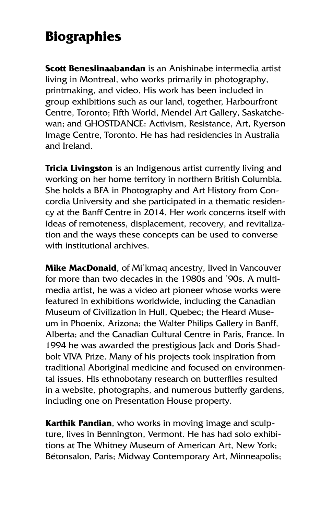# **Biographies**

**Scott Benesiinaabandan** is an Anishinabe intermedia artist living in Montreal, who works primarily in photography, printmaking, and video. His work has been included in group exhibitions such as our land, together, Harbourfront Centre, Toronto; Fifth World, Mendel Art Gallery, Saskatchewan; and GHOSTDANCE: Activism, Resistance, Art, Ryerson Image Centre, Toronto. He has had residencies in Australia and Ireland.

**Tricia Livingston** is an Indigenous artist currently living and working on her home territory in northern British Columbia. She holds a BFA in Photography and Art History from Concordia University and she participated in a thematic residency at the Banff Centre in 2014. Her work concerns itself with ideas of remoteness, displacement, recovery, and revitalization and the ways these concepts can be used to converse with institutional archives.

**Mike MacDonald**, of Mi'kmaq ancestry, lived in Vancouver for more than two decades in the 1980s and '90s. A multimedia artist, he was a video art pioneer whose works were featured in exhibitions worldwide, including the Canadian Museum of Civilization in Hull, Quebec; the Heard Museum in Phoenix, Arizona; the Walter Philips Gallery in Banff, Alberta; and the Canadian Cultural Centre in Paris, France. In 1994 he was awarded the prestigious Jack and Doris Shadbolt VIVA Prize. Many of his projects took inspiration from traditional Aboriginal medicine and focused on environmental issues. His ethnobotany research on butterflies resulted in a website, photographs, and numerous butterfly gardens, including one on Presentation House property.

**Karthik Pandian**, who works in moving image and sculpture, lives in Bennington, Vermont. He has had solo exhibitions at The Whitney Museum of American Art, New York; Bétonsalon, Paris; Midway Contemporary Art, Minneapolis;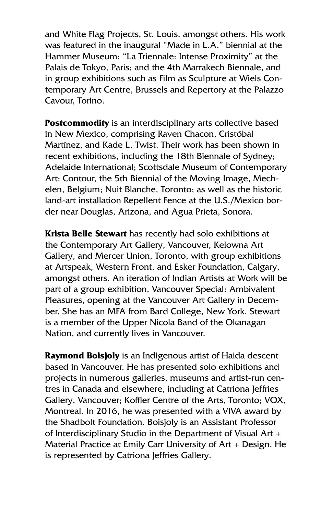and White Flag Projects, St. Louis, amongst others. His work was featured in the inaugural "Made in L.A." biennial at the Hammer Museum; "La Triennale: Intense Proximity" at the Palais de Tokyo, Paris; and the 4th Marrakech Biennale, and in group exhibitions such as Film as Sculpture at Wiels Contemporary Art Centre, Brussels and Repertory at the Palazzo Cavour, Torino.

**Postcommodity** is an interdisciplinary arts collective based in New Mexico, comprising Raven Chacon, Cristóbal Martínez, and Kade L. Twist. Their work has been shown in recent exhibitions, including the 18th Biennale of Sydney; Adelaide International; Scottsdale Museum of Contemporary Art; Contour, the 5th Biennial of the Moving Image, Mechelen, Belgium; Nuit Blanche, Toronto; as well as the historic land-art installation Repellent Fence at the U.S./Mexico border near Douglas, Arizona, and Agua Prieta, Sonora.

**Krista Belle Stewart** has recently had solo exhibitions at the Contemporary Art Gallery, Vancouver, Kelowna Art Gallery, and Mercer Union, Toronto, with group exhibitions at Artspeak, Western Front, and Esker Foundation, Calgary, amongst others. An iteration of Indian Artists at Work will be part of a group exhibition, Vancouver Special: Ambivalent Pleasures, opening at the Vancouver Art Gallery in December. She has an MFA from Bard College, New York. Stewart is a member of the Upper Nicola Band of the Okanagan Nation, and currently lives in Vancouver.

**Raymond Boisjoly** is an Indigenous artist of Haida descent based in Vancouver. He has presented solo exhibitions and projects in numerous galleries, museums and artist-run centres in Canada and elsewhere, including at Catriona Jeffries Gallery, Vancouver; Koffler Centre of the Arts, Toronto; VOX, Montreal. In 2016, he was presented with a VIVA award by the Shadbolt Foundation. Boisjoly is an Assistant Professor of Interdisciplinary Studio in the Department of Visual Art + Material Practice at Emily Carr University of Art + Design. He is represented by Catriona Jeffries Gallery.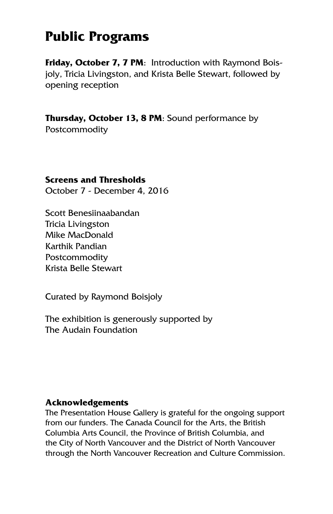## **Public Programs**

**Friday, October 7, 7 PM**: Introduction with Raymond Boisjoly, Tricia Livingston, and Krista Belle Stewart, followed by opening reception

**Thursday, October 13, 8 PM**: Sound performance by **Postcommodity** 

#### **Screens and Thresholds**

October 7 - December 4, 2016

Scott Benesiinaabandan Tricia Livingston Mike MacDonald Karthik Pandian **Postcommodity** Krista Belle Stewart

Curated by Raymond Boisjoly

The exhibition is generously supported by The Audain Foundation

#### **Acknowledgements**

The Presentation House Gallery is grateful for the ongoing support from our funders. The Canada Council for the Arts, the British Columbia Arts Council, the Province of British Columbia, and the City of North Vancouver and the District of North Vancouver through the North Vancouver Recreation and Culture Commission.